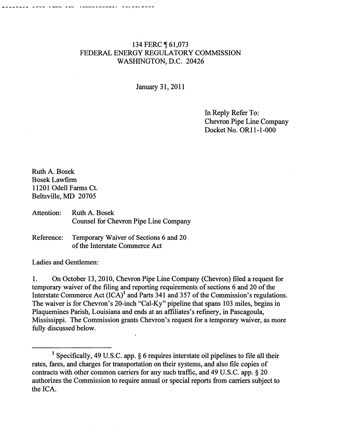## 134 FERC **[61,073** FEDERAL ENERGY REGULATORY COMMISSION WASHINGTON, D.C. 20426

January 31,2011

In Reply Refer To: Chevron Pipe Line Company Docket No. OR11-1-000

Ruth A. Bosek Bosek Lawfirm 11201 Odell Farms Ct. Beltsville, MD 20705

Attention: Ruth A. Bosek Counsel for Chevron Pipe Line Company

Reference: Temporary Waiver of Sections 6 and 20 of the Interstate Commerce Act

Ladies and Gentlemen:

1. On October 13,2010, Chevron Pipe Line Company (Chevron) filed a request for temporary waiver of the filing and reporting requirements of sections 6 and 20 of the Interstate Commerce Act  $(ICA)^1$  and Parts 341 and 357 of the Commission's regulations. The waiver is for Chevron's 20-inch "Cal-Ky" pipeline that spans 103 miles, begins in Plaquemines Parish, Louisiana and ends at an affiliates's refinery, in Pascagoula, Mississippi. The Commission grants Chevron's request for a temporary waiver, as more fully discussed below.

<sup>&</sup>lt;sup>1</sup> Specifically, 49 U.S.C. app.  $\S$  6 requires interstate oil pipelines to file all their rates, fares, and charges for transportation on their systems, and also file copies of contracts with other common carriers for any such traffic, and 49 U.S.C. app. § 20 authorizes the Commission to require annual or special reports from carriers subject to the ICA.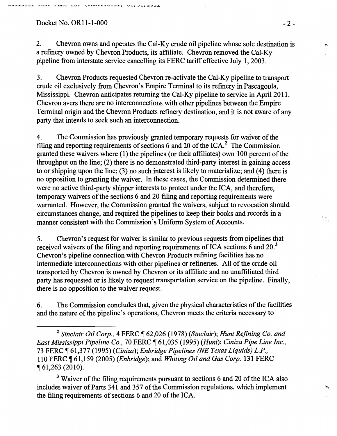## Docket No. OR11-1-000 -2-

2. Chevron owns and operates the Cal-Ky crude oil pipeline whose sole destination is a refinery owned by Chevron Products, its affiliate. Chevron removed the Cal-Ky pipeline from interstate service cancelling its FERC tariff effective July I, 2003.

3. Chevron Products requested Chevron re-activate the Cal-Ky pipeline to transport crude oil exclusively from Chevron's Empire Terminal to its refinery in Pascagoula, Mississippi. Chevron anticipates returning the Cal-Ky pipeline to service in April 2011. Chevron avers there are no interconnections with other pipelines between the Empire Terminal origin and the Chevron Products refinery destination, and it is not aware of any party that intends to seek such an interconnection.

4. The Commission has previously granted temporary requests for waiver of the filing and reporting requirements of sections 6 and 20 of the ICA.<sup>2</sup> The Commission granted these waivers where (I) the pipelines (or their affiliates) own I 00 percent of the throughput on the line; (2) there is no demonstrated third-party interest in gaining access to or shipping upon the line; (3) no such interest is likely to materialize; and (4) there is no opposition to granting the waiver. In these cases, the Commission determined there were no active third-party shipper interests to protect under the ICA, and therefore, temporary waivers of the sections 6 and 20 filing and reporting requirements were warranted. However, the Commission granted the waivers, subject to revocation should circumstances change, and required the pipelines to keep their books and records in a manner consistent with the Commission's Uniform System of Accounts.

5. Chevron's request for waiver is similar to previous requests from pipelines that received waivers of the filing and reporting requirements of ICA sections 6 and  $20<sup>3</sup>$ Chevron's pipeline connection with Chevron Products refining facilities has no intermediate interconnections with other pipelines or refineries. All of the crude oil transported by Chevron is owned by Chevron or its affiliate and no unaffiliated third party has requested or is likely to request transportation service on the pipeline. Finally, there is no opposition to the waiver request.

6. The Commission concludes that, given the physical characteristics of the facilities and the nature of the pipeline's operations, Chevron meets the criteria necessary to

<sup>3</sup> Waiver of the filing requirements pursuant to sections 6 and 20 of the ICA also includes waiver of Parts 34I and 357 of the Commission regulations, which implement the filing requirements of sections  $6$  and  $20$  of the ICA.

 $\mathbb{I}$ 

 $\ddot{\phantom{1}}$ 

<sup>&</sup>lt;sup>2</sup> Sinclair Oil Corp., 4 FERC ¶ 62,026 (1978) (Sinclair); Hunt Refining Co. and *East Mississippi Pipeline Co.,* 70 FERC ~ 6I,035 (1995) *(Hunt); Ciniza Pipe Line Inc.,*  73 FERC, 6I,377 (I995) *(Ciniza); Enbridge Pipelines (NE Texas Liquids) L.P.,*  110 FERC ~ 61,159 (2005) *(Enbridge* ); and *Whiting Oil and Gas Corp.* 131 FERC <sup>~</sup>61,263 (2010).